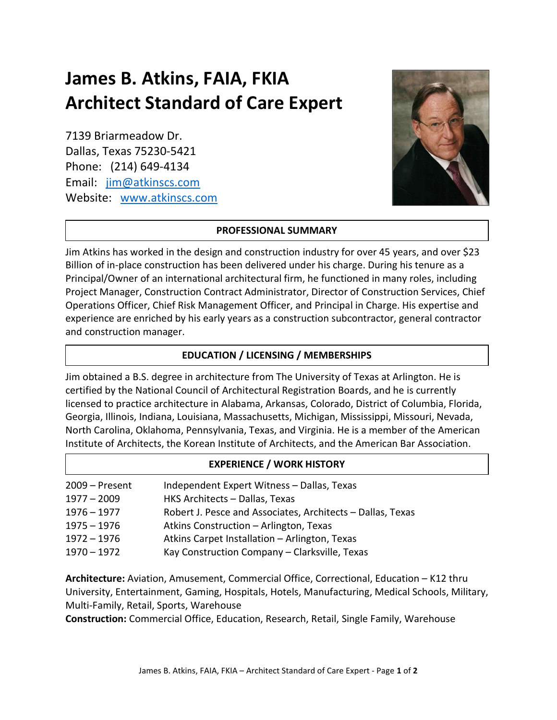# James B. Atkins, FAIA, FKIA Architect Standard of Care Expert

7139 Briarmeadow Dr. Dallas, Texas 75230-5421 Phone: (214) 649-4134 Email: jim@atkinscs.com Website: www.atkinscs.com



#### PROFESSIONAL SUMMARY

Jim Atkins has worked in the design and construction industry for over 45 years, and over \$23 Billion of in-place construction has been delivered under his charge. During his tenure as a Principal/Owner of an international architectural firm, he functioned in many roles, including Project Manager, Construction Contract Administrator, Director of Construction Services, Chief Operations Officer, Chief Risk Management Officer, and Principal in Charge. His expertise and experience are enriched by his early years as a construction subcontractor, general contractor and construction manager.

#### EDUCATION / LICENSING / MEMBERSHIPS

Jim obtained a B.S. degree in architecture from The University of Texas at Arlington. He is certified by the National Council of Architectural Registration Boards, and he is currently licensed to practice architecture in Alabama, Arkansas, Colorado, District of Columbia, Florida, Georgia, Illinois, Indiana, Louisiana, Massachusetts, Michigan, Mississippi, Missouri, Nevada, North Carolina, Oklahoma, Pennsylvania, Texas, and Virginia. He is a member of the American Institute of Architects, the Korean Institute of Architects, and the American Bar Association.

## EXPERIENCE / WORK HISTORY

| 2009 - Present | Independent Expert Witness - Dallas, Texas                 |
|----------------|------------------------------------------------------------|
| $1977 - 2009$  | HKS Architects - Dallas, Texas                             |
| $1976 - 1977$  | Robert J. Pesce and Associates, Architects - Dallas, Texas |
| $1975 - 1976$  | Atkins Construction - Arlington, Texas                     |
| $1972 - 1976$  | Atkins Carpet Installation - Arlington, Texas              |
| $1970 - 1972$  | Kay Construction Company - Clarksville, Texas              |

Architecture: Aviation, Amusement, Commercial Office, Correctional, Education – K12 thru University, Entertainment, Gaming, Hospitals, Hotels, Manufacturing, Medical Schools, Military, Multi-Family, Retail, Sports, Warehouse

Construction: Commercial Office, Education, Research, Retail, Single Family, Warehouse